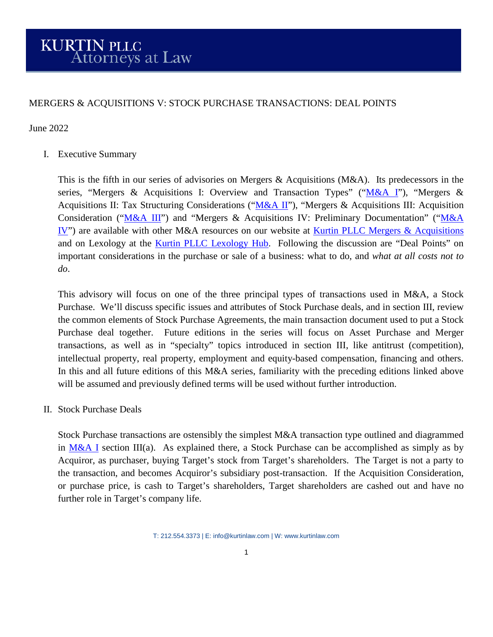## MERGERS & ACQUISITIONS V: STOCK PURCHASE TRANSACTIONS: DEAL POINTS

June 2022

I. Executive Summary

This is the fifth in our series of advisories on Mergers & Acquisitions (M&A). Its predecessors in the series, "Mergers & Acquisitions I: Overview and Transaction Types" (["M&A I"](https://kurtinlaw.com/wp-content/uploads/2022/04/Mergers-and-Acquisitions-I-04.2022.pdf)), "Mergers & Acquisitions II: Tax Structuring Considerations (["M&A II"](https://kurtinlaw.com/wp-content/uploads/2022/05/Mergers-and-Acquisitions-II-05.2022.pdf)), "Mergers & Acquisitions III: Acquisition Consideration (["M&A III"](https://kurtinlaw.com/wp-content/uploads/2022/05/Mergers-and-Acquisitions-III-05.2022.pdf)) and "Mergers & Acquisitions IV: Preliminary Documentation" (["M&A](https://kurtinlaw.com/wp-content/uploads/2022/05/Mergers-and-Acquisitions-IV-05-06.2022.pdf)  [IV"](https://kurtinlaw.com/wp-content/uploads/2022/05/Mergers-and-Acquisitions-IV-05-06.2022.pdf)) are available with other M&A resources on our website at [Kurtin PLLC Mergers & Acquisitions](https://kurtinlaw.com/practice-areas/mergers-acquisitions/) and on Lexology at the [Kurtin PLLC Lexology Hub.](https://www.lexology.com/contributors/kurtin-pllc) Following the discussion are "Deal Points" on important considerations in the purchase or sale of a business: what to do, and *what at all costs not to do*.

This advisory will focus on one of the three principal types of transactions used in M&A, a Stock Purchase. We'll discuss specific issues and attributes of Stock Purchase deals, and in section III, review the common elements of Stock Purchase Agreements, the main transaction document used to put a Stock Purchase deal together. Future editions in the series will focus on Asset Purchase and Merger transactions, as well as in "specialty" topics introduced in section III, like antitrust (competition), intellectual property, real property, employment and equity-based compensation, financing and others. In this and all future editions of this M&A series, familiarity with the preceding editions linked above will be assumed and previously defined terms will be used without further introduction.

II. Stock Purchase Deals

Stock Purchase transactions are ostensibly the simplest M&A transaction type outlined and diagrammed in [M&A I](https://kurtinlaw.com/wp-content/uploads/2022/04/Mergers-and-Acquisitions-I-04.2022.pdf) section III(a). As explained there, a Stock Purchase can be accomplished as simply as by Acquiror, as purchaser, buying Target's stock from Target's shareholders. The Target is not a party to the transaction, and becomes Acquiror's subsidiary post-transaction. If the Acquisition Consideration, or purchase price, is cash to Target's shareholders, Target shareholders are cashed out and have no further role in Target's company life.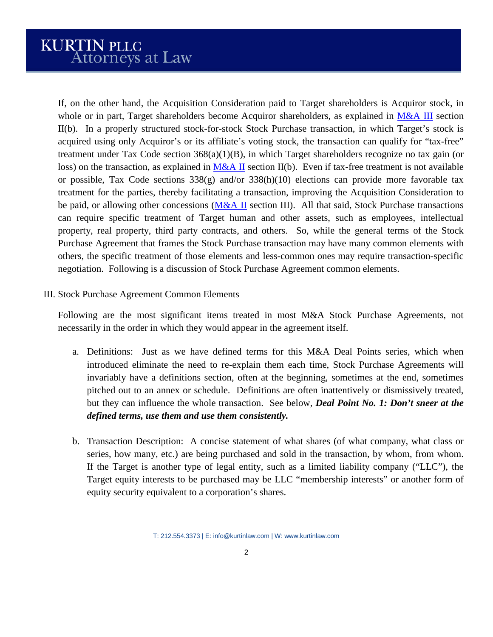If, on the other hand, the Acquisition Consideration paid to Target shareholders is Acquiror stock, in whole or in part, Target shareholders become Acquiror shareholders, as explained in  $M&A$  III section II(b). In a properly structured stock-for-stock Stock Purchase transaction, in which Target's stock is acquired using only Acquiror's or its affiliate's voting stock, the transaction can qualify for "tax-free" treatment under Tax Code section  $368(a)(1)(B)$ , in which Target shareholders recognize no tax gain (or loss) on the transaction, as explained in  $M&A\,I\!I$  section II(b). Even if tax-free treatment is not available or possible, Tax Code sections 338(g) and/or 338(h)(10) elections can provide more favorable tax treatment for the parties, thereby facilitating a transaction, improving the Acquisition Consideration to be paid, or allowing other concessions ( $M&A II$  section III). All that said, Stock Purchase transactions can require specific treatment of Target human and other assets, such as employees, intellectual property, real property, third party contracts, and others. So, while the general terms of the Stock Purchase Agreement that frames the Stock Purchase transaction may have many common elements with others, the specific treatment of those elements and less-common ones may require transaction-specific negotiation. Following is a discussion of Stock Purchase Agreement common elements.

III. Stock Purchase Agreement Common Elements

Following are the most significant items treated in most M&A Stock Purchase Agreements, not necessarily in the order in which they would appear in the agreement itself.

- a. Definitions: Just as we have defined terms for this M&A Deal Points series, which when introduced eliminate the need to re-explain them each time, Stock Purchase Agreements will invariably have a definitions section, often at the beginning, sometimes at the end, sometimes pitched out to an annex or schedule. Definitions are often inattentively or dismissively treated, but they can influence the whole transaction. See below, *Deal Point No. 1: Don't sneer at the defined terms, use them and use them consistently.*
- b. Transaction Description: A concise statement of what shares (of what company, what class or series, how many, etc.) are being purchased and sold in the transaction, by whom, from whom. If the Target is another type of legal entity, such as a limited liability company ("LLC"), the Target equity interests to be purchased may be LLC "membership interests" or another form of equity security equivalent to a corporation's shares.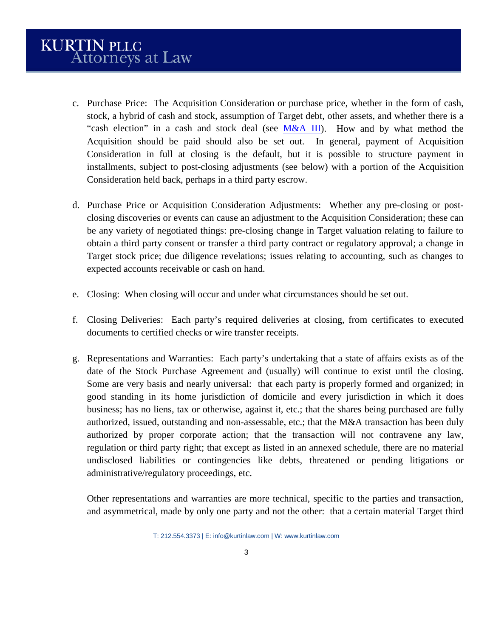- c. Purchase Price: The Acquisition Consideration or purchase price, whether in the form of cash, stock, a hybrid of cash and stock, assumption of Target debt, other assets, and whether there is a "cash election" in a cash and stock deal (see [M&A III\)](https://kurtinlaw.com/wp-content/uploads/2022/05/Mergers-and-Acquisitions-III-05.2022.pdf). How and by what method the Acquisition should be paid should also be set out. In general, payment of Acquisition Consideration in full at closing is the default, but it is possible to structure payment in installments, subject to post-closing adjustments (see below) with a portion of the Acquisition Consideration held back, perhaps in a third party escrow.
- d. Purchase Price or Acquisition Consideration Adjustments: Whether any pre-closing or postclosing discoveries or events can cause an adjustment to the Acquisition Consideration; these can be any variety of negotiated things: pre-closing change in Target valuation relating to failure to obtain a third party consent or transfer a third party contract or regulatory approval; a change in Target stock price; due diligence revelations; issues relating to accounting, such as changes to expected accounts receivable or cash on hand.
- e. Closing: When closing will occur and under what circumstances should be set out.
- f. Closing Deliveries: Each party's required deliveries at closing, from certificates to executed documents to certified checks or wire transfer receipts.
- g. Representations and Warranties: Each party's undertaking that a state of affairs exists as of the date of the Stock Purchase Agreement and (usually) will continue to exist until the closing. Some are very basis and nearly universal: that each party is properly formed and organized; in good standing in its home jurisdiction of domicile and every jurisdiction in which it does business; has no liens, tax or otherwise, against it, etc.; that the shares being purchased are fully authorized, issued, outstanding and non-assessable, etc.; that the M&A transaction has been duly authorized by proper corporate action; that the transaction will not contravene any law, regulation or third party right; that except as listed in an annexed schedule, there are no material undisclosed liabilities or contingencies like debts, threatened or pending litigations or administrative/regulatory proceedings, etc.

Other representations and warranties are more technical, specific to the parties and transaction, and asymmetrical, made by only one party and not the other: that a certain material Target third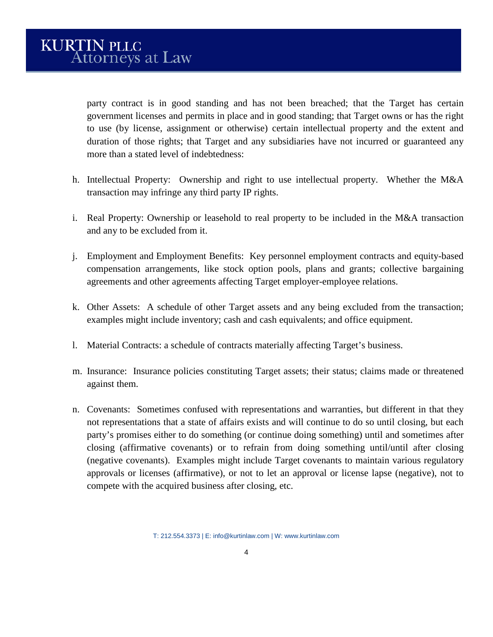party contract is in good standing and has not been breached; that the Target has certain government licenses and permits in place and in good standing; that Target owns or has the right to use (by license, assignment or otherwise) certain intellectual property and the extent and duration of those rights; that Target and any subsidiaries have not incurred or guaranteed any more than a stated level of indebtedness:

- h. Intellectual Property: Ownership and right to use intellectual property. Whether the M&A transaction may infringe any third party IP rights.
- i. Real Property: Ownership or leasehold to real property to be included in the M&A transaction and any to be excluded from it.
- j. Employment and Employment Benefits: Key personnel employment contracts and equity-based compensation arrangements, like stock option pools, plans and grants; collective bargaining agreements and other agreements affecting Target employer-employee relations.
- k. Other Assets: A schedule of other Target assets and any being excluded from the transaction; examples might include inventory; cash and cash equivalents; and office equipment.
- l. Material Contracts: a schedule of contracts materially affecting Target's business.
- m. Insurance: Insurance policies constituting Target assets; their status; claims made or threatened against them.
- n. Covenants: Sometimes confused with representations and warranties, but different in that they not representations that a state of affairs exists and will continue to do so until closing, but each party's promises either to do something (or continue doing something) until and sometimes after closing (affirmative covenants) or to refrain from doing something until/until after closing (negative covenants). Examples might include Target covenants to maintain various regulatory approvals or licenses (affirmative), or not to let an approval or license lapse (negative), not to compete with the acquired business after closing, etc.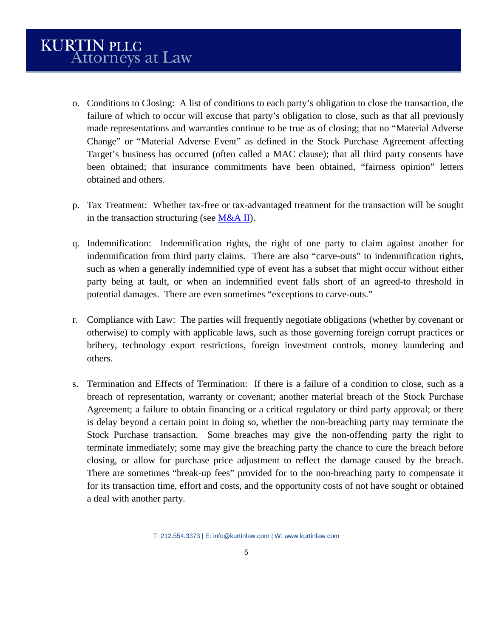- o. Conditions to Closing: A list of conditions to each party's obligation to close the transaction, the failure of which to occur will excuse that party's obligation to close, such as that all previously made representations and warranties continue to be true as of closing; that no "Material Adverse Change" or "Material Adverse Event" as defined in the Stock Purchase Agreement affecting Target's business has occurred (often called a MAC clause); that all third party consents have been obtained; that insurance commitments have been obtained, "fairness opinion" letters obtained and others.
- p. Tax Treatment: Whether tax-free or tax-advantaged treatment for the transaction will be sought in the transaction structuring (see  $M&A II$ ).
- q. Indemnification: Indemnification rights, the right of one party to claim against another for indemnification from third party claims. There are also "carve-outs" to indemnification rights, such as when a generally indemnified type of event has a subset that might occur without either party being at fault, or when an indemnified event falls short of an agreed-to threshold in potential damages. There are even sometimes "exceptions to carve-outs."
- r. Compliance with Law: The parties will frequently negotiate obligations (whether by covenant or otherwise) to comply with applicable laws, such as those governing foreign corrupt practices or bribery, technology export restrictions, foreign investment controls, money laundering and others.
- s. Termination and Effects of Termination: If there is a failure of a condition to close, such as a breach of representation, warranty or covenant; another material breach of the Stock Purchase Agreement; a failure to obtain financing or a critical regulatory or third party approval; or there is delay beyond a certain point in doing so, whether the non-breaching party may terminate the Stock Purchase transaction. Some breaches may give the non-offending party the right to terminate immediately; some may give the breaching party the chance to cure the breach before closing, or allow for purchase price adjustment to reflect the damage caused by the breach. There are sometimes "break-up fees" provided for to the non-breaching party to compensate it for its transaction time, effort and costs, and the opportunity costs of not have sought or obtained a deal with another party.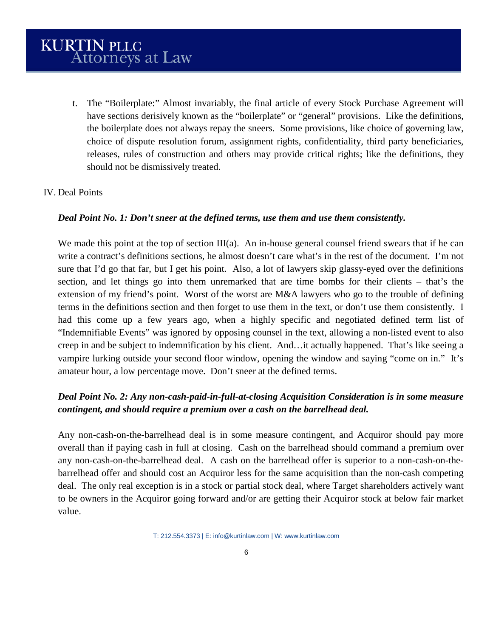t. The "Boilerplate:" Almost invariably, the final article of every Stock Purchase Agreement will have sections derisively known as the "boilerplate" or "general" provisions. Like the definitions, the boilerplate does not always repay the sneers. Some provisions, like choice of governing law, choice of dispute resolution forum, assignment rights, confidentiality, third party beneficiaries, releases, rules of construction and others may provide critical rights; like the definitions, they should not be dismissively treated.

### IV. Deal Points

### *Deal Point No. 1: Don't sneer at the defined terms, use them and use them consistently.*

We made this point at the top of section III(a). An in-house general counsel friend swears that if he can write a contract's definitions sections, he almost doesn't care what's in the rest of the document. I'm not sure that I'd go that far, but I get his point. Also, a lot of lawyers skip glassy-eyed over the definitions section, and let things go into them unremarked that are time bombs for their clients – that's the extension of my friend's point. Worst of the worst are M&A lawyers who go to the trouble of defining terms in the definitions section and then forget to use them in the text, or don't use them consistently. I had this come up a few years ago, when a highly specific and negotiated defined term list of "Indemnifiable Events" was ignored by opposing counsel in the text, allowing a non-listed event to also creep in and be subject to indemnification by his client. And…it actually happened. That's like seeing a vampire lurking outside your second floor window, opening the window and saying "come on in." It's amateur hour, a low percentage move. Don't sneer at the defined terms.

# *Deal Point No. 2: Any non-cash-paid-in-full-at-closing Acquisition Consideration is in some measure contingent, and should require a premium over a cash on the barrelhead deal.*

Any non-cash-on-the-barrelhead deal is in some measure contingent, and Acquiror should pay more overall than if paying cash in full at closing. Cash on the barrelhead should command a premium over any non-cash-on-the-barrelhead deal. A cash on the barrelhead offer is superior to a non-cash-on-thebarrelhead offer and should cost an Acquiror less for the same acquisition than the non-cash competing deal. The only real exception is in a stock or partial stock deal, where Target shareholders actively want to be owners in the Acquiror going forward and/or are getting their Acquiror stock at below fair market value.